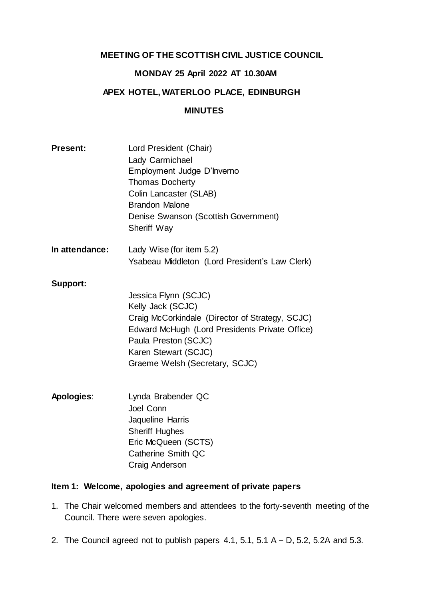# **MEETING OF THE SCOTTISH CIVIL JUSTICE COUNCIL**

# **MONDAY 25 April 2022 AT 10.30AM**

# **APEX HOTEL, WATERLOO PLACE, EDINBURGH**

### **MINUTES**

| <b>Present:</b> | Lord President (Chair)<br>Lady Carmichael<br>Employment Judge D'Inverno<br><b>Thomas Docherty</b><br>Colin Lancaster (SLAB)<br><b>Brandon Malone</b><br>Denise Swanson (Scottish Government)<br><b>Sheriff Way</b>               |
|-----------------|----------------------------------------------------------------------------------------------------------------------------------------------------------------------------------------------------------------------------------|
| In attendance:  | Lady Wise (for item 5.2)<br>Ysabeau Middleton (Lord President's Law Clerk)                                                                                                                                                       |
| <b>Support:</b> | Jessica Flynn (SCJC)<br>Kelly Jack (SCJC)<br>Craig McCorkindale (Director of Strategy, SCJC)<br>Edward McHugh (Lord Presidents Private Office)<br>Paula Preston (SCJC)<br>Karen Stewart (SCJC)<br>Graeme Welsh (Secretary, SCJC) |
| Apologies:      | Lynda Brabender QC<br>Joel Conn                                                                                                                                                                                                  |

Joel Conn Jaqueline Harris Sheriff Hughes Eric McQueen (SCTS) Catherine Smith QC Craig Anderson

# **Item 1: Welcome, apologies and agreement of private papers**

- 1. The Chair welcomed members and attendees to the forty-seventh meeting of the Council. There were seven apologies.
- 2. The Council agreed not to publish papers  $4.1$ ,  $5.1$ ,  $5.1$  A  $-$  D,  $5.2$ ,  $5.2$ A and  $5.3$ .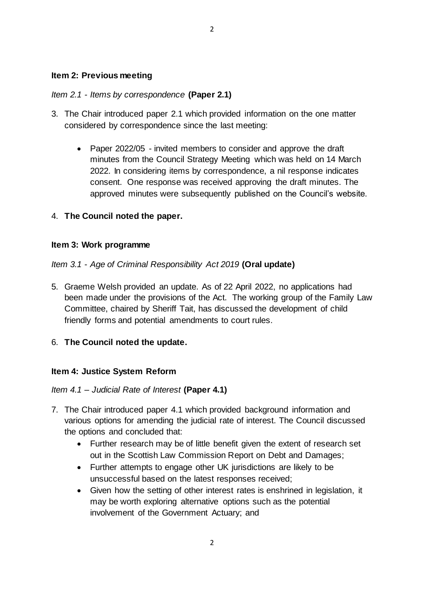### **Item 2: Previous meeting**

### *Item 2.1 - Items by correspondence* **(Paper 2.1)**

- 3. The Chair introduced paper 2.1 which provided information on the one matter considered by correspondence since the last meeting:
	- Paper 2022/05 invited members to consider and approve the draft minutes from the Council Strategy Meeting which was held on 14 March 2022. In considering items by correspondence, a nil response indicates consent. One response was received approving the draft minutes. The approved minutes were subsequently published on the Council's website.

## 4. **The Council noted the paper.**

### **Item 3: Work programme**

### *Item 3.1* - *Age of Criminal Responsibility Act 2019* **(Oral update)**

5. Graeme Welsh provided an update. As of 22 April 2022, no applications had been made under the provisions of the Act. The working group of the Family Law Committee, chaired by Sheriff Tait, has discussed the development of child friendly forms and potential amendments to court rules.

## 6. **The Council noted the update.**

#### **Item 4: Justice System Reform**

#### *Item 4.1 – Judicial Rate of Interest* **(Paper 4.1)**

- 7. The Chair introduced paper 4.1 which provided background information and various options for amending the judicial rate of interest. The Council discussed the options and concluded that:
	- Further research may be of little benefit given the extent of research set out in the Scottish Law Commission Report on Debt and Damages;
	- Further attempts to engage other UK jurisdictions are likely to be unsuccessful based on the latest responses received;
	- Given how the setting of other interest rates is enshrined in legislation, it may be worth exploring alternative options such as the potential involvement of the Government Actuary; and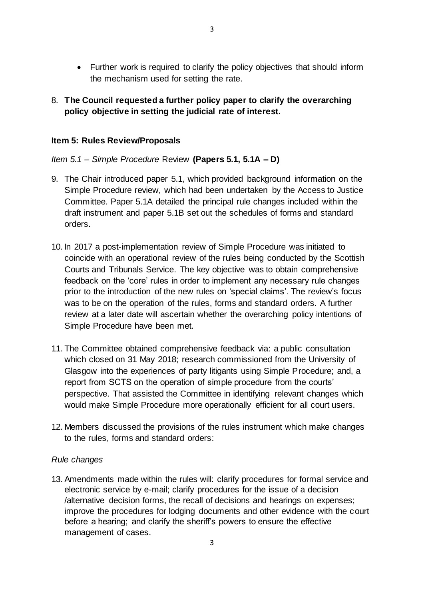- Further work is required to clarify the policy objectives that should inform the mechanism used for setting the rate.
- 8. **The Council requested a further policy paper to clarify the overarching policy objective in setting the judicial rate of interest.**

# **Item 5: Rules Review/Proposals**

# *Item 5.1 – Simple Procedure* Review **(Papers 5.1, 5.1A – D)**

- 9. The Chair introduced paper 5.1, which provided background information on the Simple Procedure review, which had been undertaken by the Access to Justice Committee. Paper 5.1A detailed the principal rule changes included within the draft instrument and paper 5.1B set out the schedules of forms and standard orders.
- 10. In 2017 a post-implementation review of Simple Procedure was initiated to coincide with an operational review of the rules being conducted by the Scottish Courts and Tribunals Service. The key objective was to obtain comprehensive feedback on the 'core' rules in order to implement any necessary rule changes prior to the introduction of the new rules on 'special claims'. The review's focus was to be on the operation of the rules, forms and standard orders. A further review at a later date will ascertain whether the overarching policy intentions of Simple Procedure have been met.
- 11. The Committee obtained comprehensive feedback via: a public consultation which closed on 31 May 2018; research commissioned from the University of Glasgow into the experiences of party litigants using Simple Procedure; and, a report from SCTS on the operation of simple procedure from the courts' perspective. That assisted the Committee in identifying relevant changes which would make Simple Procedure more operationally efficient for all court users.
- 12. Members discussed the provisions of the rules instrument which make changes to the rules, forms and standard orders:

## *Rule changes*

13. Amendments made within the rules will: clarify procedures for formal service and electronic service by e-mail; clarify procedures for the issue of a decision /alternative decision forms, the recall of decisions and hearings on expenses; improve the procedures for lodging documents and other evidence with the court before a hearing; and clarify the sheriff's powers to ensure the effective management of cases.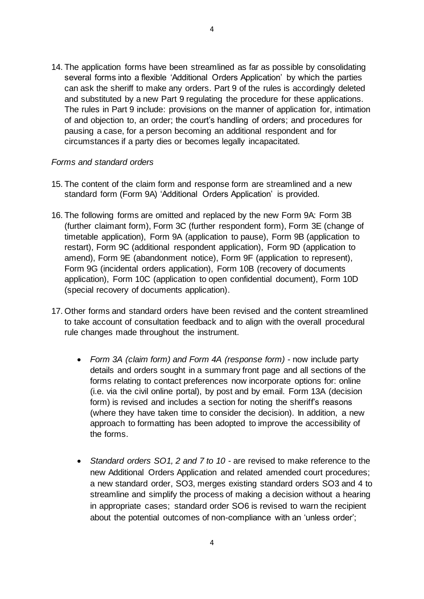14. The application forms have been streamlined as far as possible by consolidating several forms into a flexible 'Additional Orders Application' by which the parties can ask the sheriff to make any orders. Part 9 of the rules is accordingly deleted and substituted by a new Part 9 regulating the procedure for these applications. The rules in Part 9 include: provisions on the manner of application for, intimation of and objection to, an order; the court's handling of orders; and procedures for pausing a case, for a person becoming an additional respondent and for circumstances if a party dies or becomes legally incapacitated.

#### *Forms and standard orders*

- 15. The content of the claim form and response form are streamlined and a new standard form (Form 9A) 'Additional Orders Application' is provided.
- 16. The following forms are omitted and replaced by the new Form 9A: Form 3B (further claimant form), Form 3C (further respondent form), Form 3E (change of timetable application), Form 9A (application to pause), Form 9B (application to restart), Form 9C (additional respondent application), Form 9D (application to amend), Form 9E (abandonment notice), Form 9F (application to represent), Form 9G (incidental orders application), Form 10B (recovery of documents application), Form 10C (application to open confidential document), Form 10D (special recovery of documents application).
- 17. Other forms and standard orders have been revised and the content streamlined to take account of consultation feedback and to align with the overall procedural rule changes made throughout the instrument.
	- *Form 3A (claim form) and Form 4A (response form)* now include party details and orders sought in a summary front page and all sections of the forms relating to contact preferences now incorporate options for: online (i.e. via the civil online portal), by post and by email. Form 13A (decision form) is revised and includes a section for noting the sheriff's reasons (where they have taken time to consider the decision). In addition, a new approach to formatting has been adopted to improve the accessibility of the forms.
	- *Standard orders SO1, 2 and 7 to 10* are revised to make reference to the new Additional Orders Application and related amended court procedures; a new standard order, SO3, merges existing standard orders SO3 and 4 to streamline and simplify the process of making a decision without a hearing in appropriate cases; standard order SO6 is revised to warn the recipient about the potential outcomes of non-compliance with an 'unless order';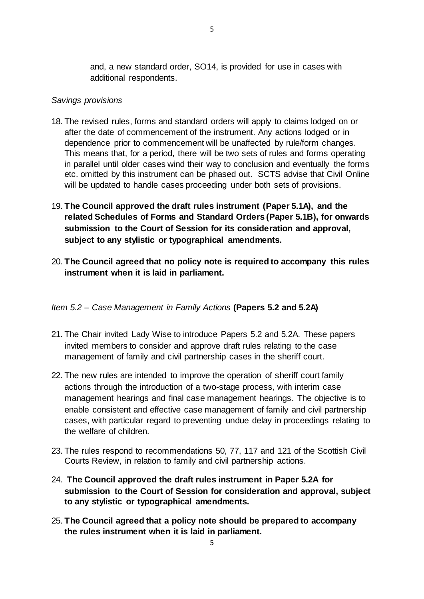and, a new standard order, SO14, is provided for use in cases with additional respondents.

#### *Savings provisions*

- 18. The revised rules, forms and standard orders will apply to claims lodged on or after the date of commencement of the instrument. Any actions lodged or in dependence prior to commencement will be unaffected by rule/form changes. This means that, for a period, there will be two sets of rules and forms operating in parallel until older cases wind their way to conclusion and eventually the forms etc. omitted by this instrument can be phased out. SCTS advise that Civil Online will be updated to handle cases proceeding under both sets of provisions.
- 19. **The Council approved the draft rules instrument (Paper 5.1A), and the related Schedules of Forms and Standard Orders (Paper 5.1B), for onwards submission to the Court of Session for its consideration and approval, subject to any stylistic or typographical amendments.**
- 20. **The Council agreed that no policy note is required to accompany this rules instrument when it is laid in parliament.**

#### *Item 5.2 – Case Management in Family Actions* **(Papers 5.2 and 5.2A)**

- 21. The Chair invited Lady Wise to introduce Papers 5.2 and 5.2A. These papers invited members to consider and approve draft rules relating to the case management of family and civil partnership cases in the sheriff court.
- 22. The new rules are intended to improve the operation of sheriff court family actions through the introduction of a two-stage process, with interim case management hearings and final case management hearings. The objective is to enable consistent and effective case management of family and civil partnership cases, with particular regard to preventing undue delay in proceedings relating to the welfare of children.
- 23. The rules respond to recommendations 50, 77, 117 and 121 of the Scottish Civil Courts Review, in relation to family and civil partnership actions.
- 24. **The Council approved the draft rules instrument in Paper 5.2A for submission to the Court of Session for consideration and approval, subject to any stylistic or typographical amendments.**
- 25. **The Council agreed that a policy note should be prepared to accompany the rules instrument when it is laid in parliament.**